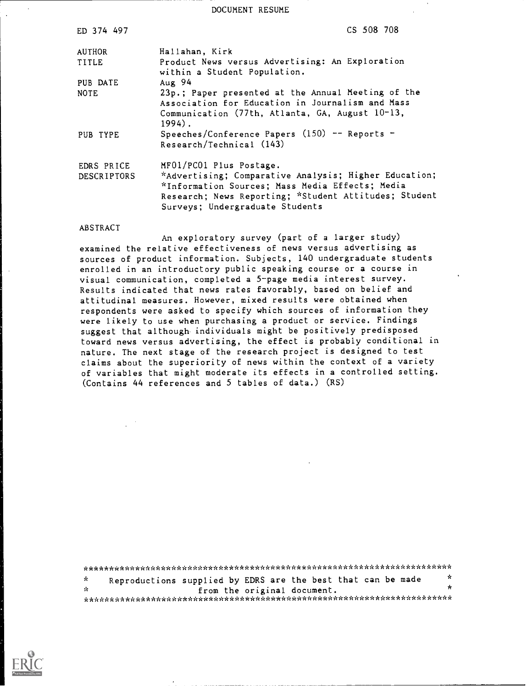DOCUMENT RESUME

| ED 374 497  |                                                                                 | CS 508 708 |
|-------------|---------------------------------------------------------------------------------|------------|
| AUTHOR      | Hallahan, Kirk                                                                  |            |
| TITLE       | Product News versus Advertising: An Exploration<br>within a Student Population. |            |
| PUB DATE    | Aug 94                                                                          |            |
| <b>NOTE</b> | 23p.; Paper presented at the Annual Meeting of the                              |            |
|             | Association for Education in Journalism and Mass                                |            |
|             | Communication (77th, Atlanta, GA, August 10-13,                                 |            |
|             | $1994$ .                                                                        |            |
| PUB TYPE    | Speeches/Conference Papers (150) -- Reports -                                   |            |
|             | Research/Technical (143)                                                        |            |
| EDRS PRICE  | MF01/PC01 Plus Postage.                                                         |            |
| DESCRIPTORS | *Advertising; Comparative Analysis; Higher Education;                           |            |
|             | *Information Sources; Mass Media Effects; Media                                 |            |
|             | Research; News Reporting; *Student Attitudes; Student                           |            |
|             | Surveys; Undergraduate Students                                                 |            |
|             |                                                                                 |            |

#### ABSTRACT

An exploratory survey (part of a larger study) examined the relative effectiveness of news versus advertising as sources of product information. Subjects, 140 undergraduate students enrolled in an introductory public speaking course or a course in visual communication, completed a 5-page media interest survey. Results indicated that news rates favorably, based on belief and attitudinal measures. However, mixed results were obtained when respondents were asked to specify which sources of information they were likely to use when purchasing a product or service. Findings suggest that although individuals might be positively predisposed toward news versus advertising, the effect is probably conditional in nature. The next stage of the research project is designed to test claims about the superiority of news within the context of a variety of variables that might moderate its effects in a controlled setting. (Contains 44 references and 5 tables of data.) (RS)

\*\*\*\*\*\*\*\*\*\*\*\*\*\*\*\*\*\*\*\*\*\*\*\*\*\*\*\*\*\*\*\*\*\*\*\*\*\*\*\*\*\*\*\*\*\*\*\*\*\*\*\*\*\*\*\*\*\*\*\*\*\*\*\*\*\*\*\*\*\* Reproductions supplied by EDRS are the best that can be made  $*$  $\mathbf{r}$ from the original document. \*\*\*\*\*\*\*\*\*\*\*\*\*\*\*\*\*\*\*\*\*\*\*\*\*\*\*\*\*\*\*\*\*\*\*\*\*\*\*\*\*\*\*\*\*\*\*\*\*\*\*\*\*\*\*\*\*\*\*\*\*\*\*\*\*\*\*\*\*\*\*

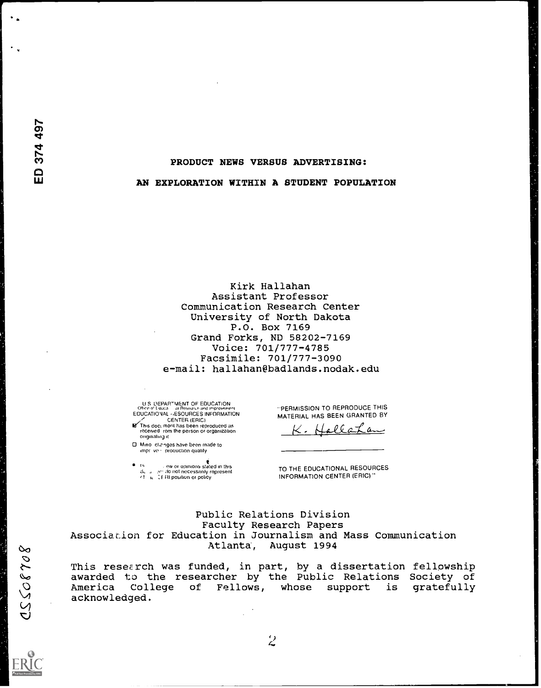## PRODUCT NEWS VERSUS ADVERTISING:

#### AN EXPLORATION WITHIN A STUDENT POPULATION

Kirk Hallahan Assistant Professor Communication Research Center University of North Dakota P.O. Box 7169 Grand Forks, ND 58202-7169 Voice: 701/777-4785 Facsimile: 701/777-3090 e-mail: hallahan@badlands.nodak.edu

U S DEPARTMENT OF EDUCATION<br>Office.of.to.ca = ni Research ind Improvement<br>EDUCATIONAL ⇔ESOURCES INFORMATION EDUCATIONAL (ESOURCES INFORMATION<br>METhis doci meni has been reproduced as<br>This doci meni has been reproduced as<br>received rom the person or organization

originating It

0 Mino chriges have been made to impr ve proouction quality

IV is a community of this in this<br>duitable which necessarily represent<br>cfilial Cf. RI position or policy

PERMISSION TO REPRODUCE THIS MATERIAL HAS BEEN GRANTED BY

llat  $\mu$ 

TO THE EDUCATIONAL RESOURCES INFORMATION CENTER (ERIC)"

Public Relations Division Faculty Research Papers Association for Education in Journalism and Mass Communication Atlanta, August 1994

This research was funded, in part, by a dissertation fellowship awarded to the researcher by the Public Relations Society of America College of Fellows, whose support is gratefully acknowledged.

80230550

 $\overline{z}$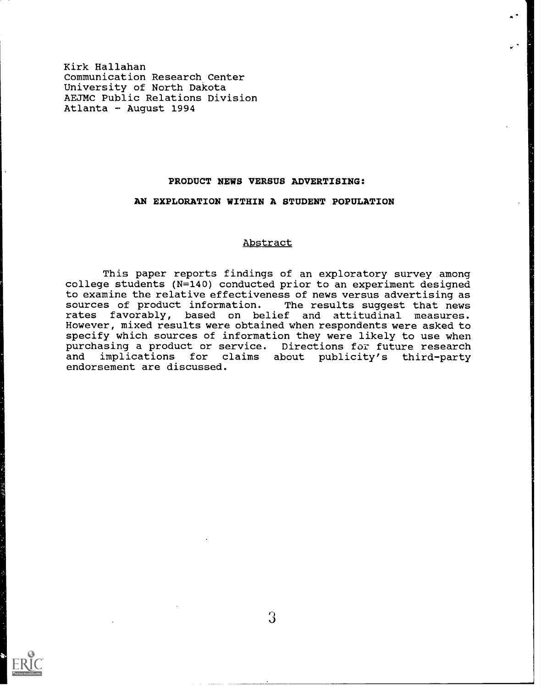Kirk Hallahan Communication Research Center University of North Dakota AEJMC Public Relations Division Atlanta - August 1994

# PRODUCT NEWS VERSUS ADVERTISING:

# AN EXPLORATION WITHIN A STUDENT POPULATION

## Abstract

This paper reports findings of an exploratory survey among college students (N=140) conducted prior to an experiment designed to examine the relative effectiveness of news versus advertising as sources of product information. The results suggest that news rates favorably, based on belief and attitudinal measures. However, mixed results were obtained when respondents were asked to specify which sources of information they were likely to use when purchasing a product or service. Directions for future research<br>and implications for claims about publicity's third-party implications for claims about publicity's third-party endorsement are discussed.



I)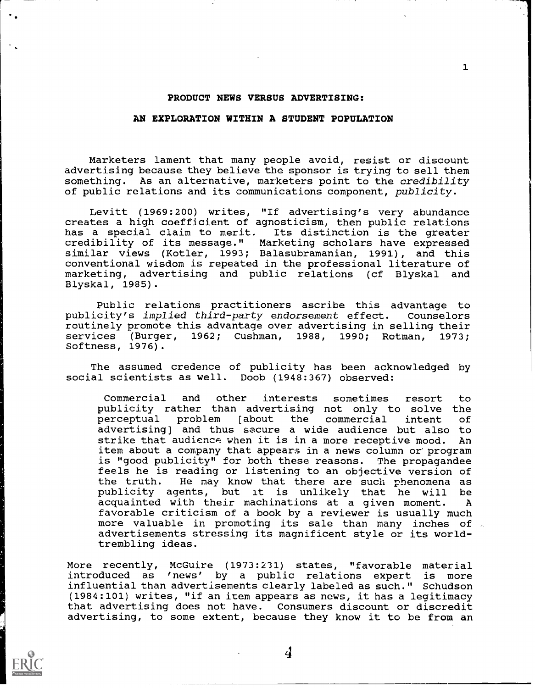## PRODUCT NEWS VERSUS ADVERTISING:

# AN EXPLORATION WITHIN A STUDENT POPULATION

Marketers lament that many people avoid, resist or discount advertising because they believe the sponsor is trying to sell them something. As an alternative, marketers point to the *credibility* of public relations and its communications component, publicity.

Levitt (1969:200) writes, "If advertising's very abundance creates a high coefficient of agnosticism, then public relations has a special claim to merit. Its distinction is the greater credibility of its message." Marketing scholars have expressed similar views (Kotler, 1993; Balasubramanian, 1991), and this conventional wisdom is repeated in the professional literature of marketing, advertising and public relations (cf Blyskal and Blyskal, 1985).

Public relations practitioners ascribe this advantage to publicity's implied third-party endorsement effect. Counselors routinely promote this advantage over advertising in selling their<br>services (Burger, 1962; Cushman, 1988, 1990; Rotman, 1973; services (Burger, 1962; Cushman, 1988, 1990; Rotman, Softness, 1976).

The assumed credence of publicity has been acknowledged by social scientists as well. Doob (1948:367) observed:

Commercial and other interests sometimes resort to publicity rather than advertising not only to solve the<br>perceptual problem [about the commercial intent of perceptual problem [about the commercial intent advertising] and thus secure a wide audience but also to strike that audience when it is in a more receptive mood. An item about a company that appears in a news column or'program is "good publicity" for both these reasons. The propagandee feels he is reading or listening to an objective version of the truth. He may know that there are such phenomena as publicity agents, but it is unlikely that he will be acquainted with their machinations at a given moment. A favorable criticism of a book by a reviewer is usually much more valuable in promoting its sale than many inches of advertisements stressing its magnificent style or its worldtrembling ideas.

More recently, McGuire (1973:231) states, "favorable material introduced as 'news' by a public relations expert is more influential than advertisements clearly labeled as such." Schudson (1984:101) writes, "if an item appears as news, it has a legitimacy that advertising does not have. Consumers discount or discredit advertising, to some extent, because they know it to be from an



4

 $\mathbf{1}$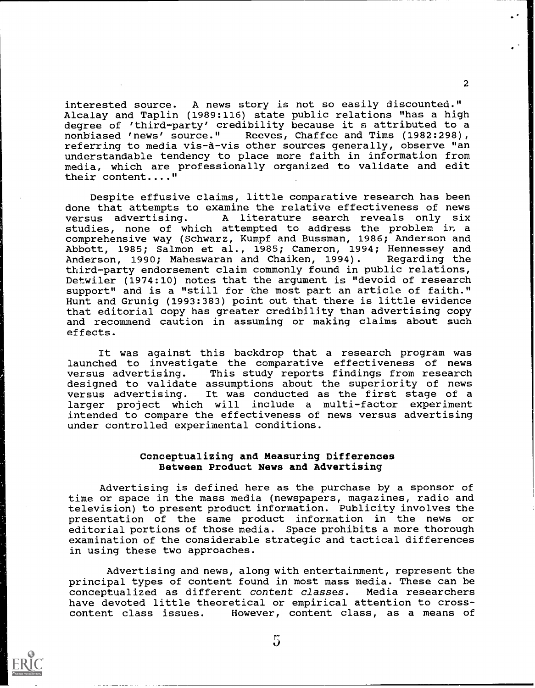interested source. A news story is not so easily discounted." Alcalay and Taplin (1989:116) state public relations "has a high degree of 'third-party' credibility because it s attributed to a nonbiased 'news' source." Reeves, Chaffee and Tims (1982:298), Reeves, Chaffee and Tims (1982:298), referring to media vis-à-vis other sources generally, observe "an understandable tendency to place more faith in information from media, which are professionally organized to validate and edit their content...."

Despite effusive claims, little comparative research has been done that attempts to examine the relative effectiveness of news<br>versus advertising. A literature search reveals only six A literature search reveals only studies, none of which attempted to address the problem in a comprehensive way (Schwarz, Kumpf and Bussman, 1986; Anderson and Abbott, 1985; Salmon et al., 1985; Cameron, 1994; Hennessey and<br>Anderson. 1990: Maheswaran and Chaiken, 1994). Regarding the Anderson, 1990; Maheswaran and Chaiken, 1994). third-party endorsement claim commonly found in public relations, Detwiler (1974:10) notes that the argument is "devoid of research support" and is a "still for the most part an article of faith." Hunt and Grunig (1993:383) point out that there is little evidence that editorial copy has greater credibility than advertising copy and recommend caution in assuming or making claims about such effects.

It was against this backdrop that a research program was launched to investigate the comparative effectiveness of news versus advertising. This study reports findings from research designed to validate assumptions about the superiority of news versus advertising. It was conducted as the first stage of a larger project which will include a multi-factor experiment intended to compare the effectiveness of news versus advertising under controlled experimental conditions.

## Conceptualizing and Measuring Differences Between Product News and Advertising

Advertising is defined here as the purchase by a sponsor of time or space in the mass media (newspapers, magazines, radio and television) to present product information. Publicity involves the presentation of the same product information in the news or editorial portions of those media. Space prohibits a more thorough examination of the considerable strategic and tactical differences in using these two approaches.

Advertising and news, along with entertainment, represent the principal types of content found in most mass media. These can be conceptualized as different content classes. Media researchers have devoted little theoretical or empirical attention to crosscontent class issues. However, content class, as a means of

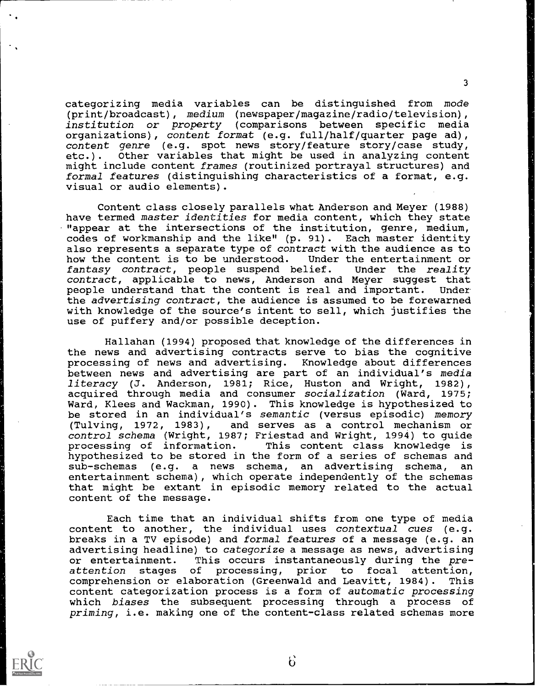categorizing media variables can be distinguished from mode (print/broadcast), medium (newspaper/magazine/radio/television), institution or property (comparisons between specific media organizations), content format (e.g. full/half/quarter page ad), content genre (e.g. spot news story/feature story/case study, etc.). Other variables that might be used in analyzing content might include content frames (routinized portrayal structures) and formal features (distinguishing characteristics of a format, e.g. visual or audio elements).

Content class closely parallels what Anderson and Meyer (1988) have termed master identities for media content, which they state "appear at the intersections of the institution, genre, medium, codes of workmanship and the like" (p. 91). Each master identity also represents a separate type of contract with the audience as to how the content is to be understood. Under the entertainment or fantasy contract, people suspend belief. Under the reality fantasy contract, people suspend belief. contract, applicable to news, Anderson and Meyer suggest that people understand that the content is real and important. Under the advertising contract, the audience is assumed to be forewarned with knowledge of the source's intent to sell, which justifies the use of puffery and/or possible deception.

Hallahan (1994) proposed that knowledge of the differences in the news and advertising contracts serve to bias the cognitive processing of news and advertising. Knowledge about differences between news and advertising are part of an individual's media literacy (J. Anderson, 1981; Rice, Huston and Wright, 1982), acquired through media and consumer socialization (Ward, 1975; Ward, Klees and Wackman, 1990). This knowledge is hypothesized to be stored in an individual's semantic (versus episodic) memory (Tulving, 1972, 1983), and serves as a control mechanism or control schema (Wright, 1987; Friestad and Wright, 1994) to guide<br>processing of information. This content class knowledge is This content class knowledge is hypothesized to be stored in the form of a series of schemas and sub-schemas (e.g. a news schema, an advertising schema, an entertainment schema), which operate independently of the schemas that might be extant in episodic memory related to the actual content of the message.

Each time that an individual shifts from one type of media content to another, the individual uses contextual cues (e.g. breaks in a TV episode) and formal features of a message (e.g. an advertising headline) to categorize a message as news, advertising or entertainment. This occurs instantaneously during the preattention stages of processing, prior to focal attention, comprehension or elaboration (Greenwald and Leavitt, 1984). This content categorization process is a form of automatic processing which biases the subsequent processing through a process of priming, i.e. making one of the content-class related schemas more



 $\mathbf{6}$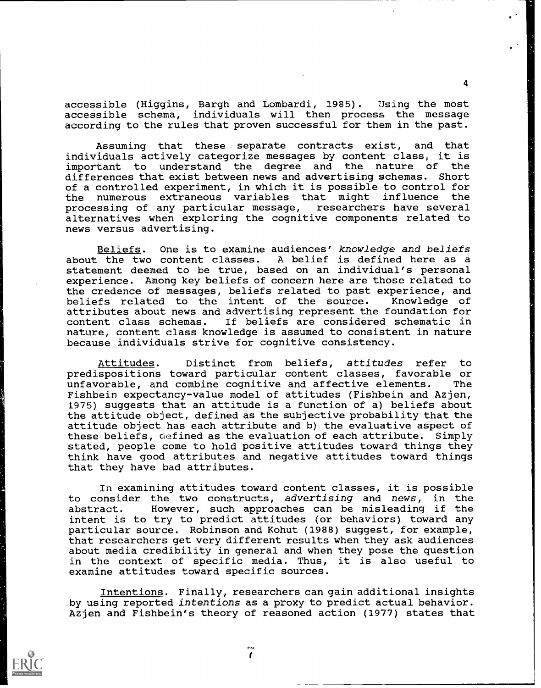accessible (Higgins, Bargh and Lombardi, 1985). Using the most accessible schema, individuals will then process the message according to the rules that proven successful for them in the past.

Assuming that these separate contracts exist, and that individuals actively categorize messages by content class, it is important to understand the degree and the nature of differences that exist between news and advertising schemas. Short of a controlled experiment, in which it is possible to control for the numerous extraneous variables that might influence the<br>processing of any particular message, researchers have several processing of any particular message, alternatives when exploring the cognitive components related to news versus advertising.

Beliefs. One is to examine audiences' knowledge and beliefs<br>the two content classes. A belief is defined here as a about the two content classes. statement deemed to be true, based on an individual's personal experience. Among key beliefs of concern here are those related to the credence of messages, beliefs related to past experience, and beliefs related to the intent of the source. Knowledge of attributes about news and advertising represent the foundation for If beliefs are considered schematic in nature, content class knowledge is assumed to consistent in nature because individuals strive for cognitive consistency.

Attitudes. Distinct from beliefs, attitudes refer to predispositions toward particular content classes, favorable or unfavorable, and combine cognitive and affective elements. Fishbein expectancy-value model of attitudes (Fishbein and Azjen, 1975) suggests that an attitude is a function of a) beliefs about the attitude object, defined as the subjective probability that the attitude object has each attribute and b) the evaluative aspect of these beliefs, defined as the evaluation of each attribute. Simply stated, people come to hold positive attitudes toward things they think have good attributes and negative attitudes toward things that they have bad attributes.

In examining attitudes toward content classes, it is possible to consider the two constructs, advertising and news, in the abstract. However, such approaches can be misleading if the intent is to try to predict attitudes (or behaviors) toward any particular source. Robinson and Kohut (1988) suggest, for example, that researchers get very different results when they ask audiences about media credibility in general and when they pose the question in the context of specific media. Thus, it is also useful to examine attitudes toward specific sources.

Intentions. Finally, researchers can gain additional insights by using reported intentions as a proxy to predict actual behavior. Azjen and Fishbein's theory of reasoned action (1977) states that



سدم  $\mathbf{r}$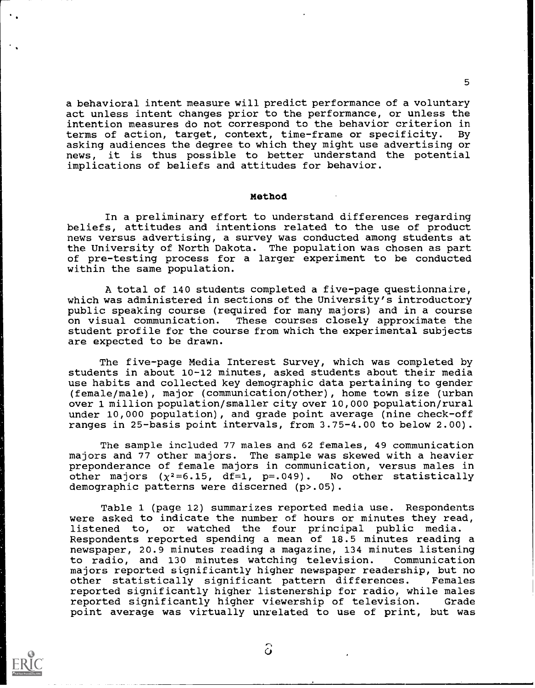a behavioral intent measure will predict performance of a voluntary act unless intent changes prior to the performance, or unless the intention measures do not correspond to the behavior criterion in<br>terms of action, target, context, time-frame or specificity. By terms of action, target, context, time-frame or specificity. asking audiences the degree to which they might use advertising or news, it is thus possible to better understand the potential implications of beliefs and attitudes for behavior.

### Method

In a preliminary effort to understand differences regarding beliefs, attitudes and intentions related to the use of product news versus advertising, a survey was conducted among students at the University of North Dakota. The population was chosen as part of pre-testing process for a larger experiment to be conducted within the same population.

A total of 140 students completed a five-page questionnaire, which was administered in sections of the University's introductory public speaking course (required for many majors) and in a course on visual communication. These courses closely approximate the student profile for the course from which the experimental subjects are expected to be drawn.

The five-page Media Interest Survey, which was completed by students in about 10-12 minutes, asked students about their media use habits and collected key demographic data pertaining to gender (female/male), major (communication/other), home town size (urban over 1 million population/smaller city over 10,000 population/rural under 10,000 population), and grade point average (nine check-off ranges in 25-basis point intervals, from 3.75-4.00 to below 2.00).

The sample included 77 males and 62 females, 49 communication majors and 77 other majors. The sample was skewed with a heavier preponderance of female majors in communication, versus males in other majors  $(\chi^2=6.15, df=1, p=.049)$ . No other statistically demographic patterns were discerned (p>.05).

Table 1 (page 12) summarizes reported media use. Respondents were asked to indicate the number of hours or minutes they read, listened to, or watched the four principal public media. Respondents reported spending a mean of 18.5 minutes reading a newspaper, 20.9 minutes reading a magazine, 134 minutes listening to radio, and 130 minutes watching television. Communication majors reported significantly higher newspaper readership, but no other statistically significant pattern differences. Females reported significantly higher listenership for radio, while males reported significantly higher viewership of television. Grade point average was virtually unrelated to use of print, but was



ි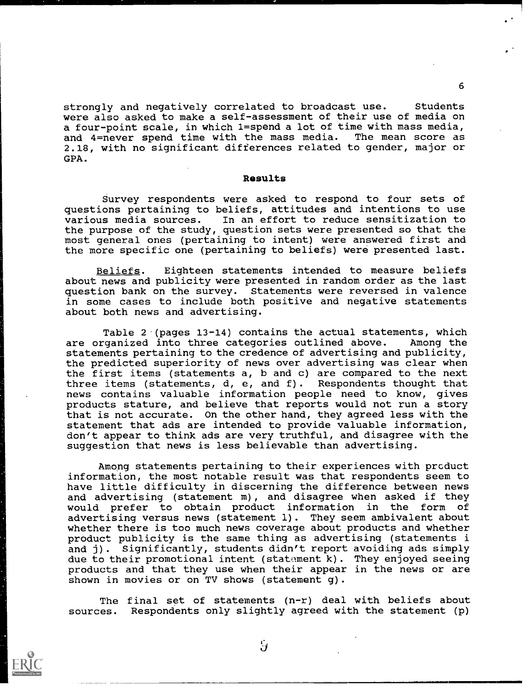strongly and negatively correlated to broadcast use. Students were also asked to make a self-assessment of their use of media on a four-point scale, in which 1=spend a lot of time with mass media, and 4=never spend time with the mass media. The mean score as 2.18, with no significant differences related to gender, major or GPA.

## Results

Survey respondents were asked to respond to four sets of questions pertaining to beliefs, attitudes and intentions to use various media sources. In an effort to reduce sensitization to the purpose of the study, question sets were presented so that the most general ones (pertaining to intent) were answered first and the more specific one (pertaining to beliefs) were presented last.

Beliefs. Eighteen statements intended to measure beliefs about news and publicity were presented in random order as the last question bank on the survey. Statements were reversed in valence in some cases to include both positive and negative statements about both news and advertising.

Table  $2 \cdot$  (pages 13-14) contains the actual statements, which are organized into three categories outlined above. Among the statements pertaining to the credence of advertising and publicity, the predicted superiority of news over advertising was clear when the first items (statements a, b and c) are compared to the next three items (statements, d, e, and f). Respondents thought that news contains valuable information people need to know, gives products stature, and believe that reports would not run a story that is not accurate. On the other hand, they agreed less with the statement that ads are intended to provide valuable information, don't appear to think ads are very truthful, and disagree with the suggestion that news is less believable than advertising.

Among statements pertaining to their experiences with prcduct information, the most notable result was that respondents seem to have little difficulty in discerning the difference between news and advertising (statement m), and disagree when asked if they would prefer to obtain product information in the form of advertising versus news (statement 1). They seem ambivalent about whether there is too much news coverage about products and whether product publicity is the same thing as advertising (statements i and j). Significantly, students didn't report avoiding ads simply due to their promotional intent (statement k). They enjoyed seeing products and that they use when their appear in the news or are shown in movies or on TV shows (statement g).

The final set of statements (n-r) deal with beliefs about sources. Respondents only slightly agreed with the statement (p)



Š.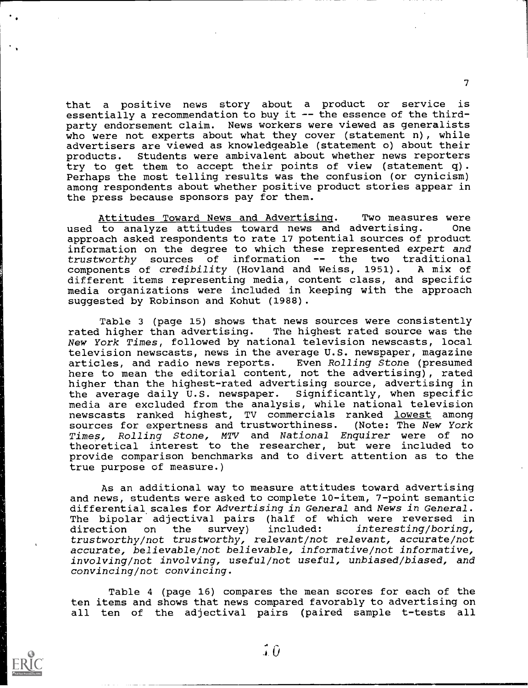that a positive news story about a product or service is essentially a recommendation to buy it -- the essence of the thirdparty endorsement claim. News workers were viewed as generalists who were not experts about what they cover (statement n), while advertisers are viewed as knowledgeable (statement o) about their products. Students were ambivalent about whether news reporters try to get them to accept their points of view (statement q). Perhaps the most telling results was the confusion (or cynicism) among respondents about whether positive product stories appear in the press because sponsors pay for them.

Attitudes Toward News and Advertising. Two measures were<br>to analyze attitudes toward news and advertising. One used to analyze attitudes toward news and advertising. approach asked respondents to rate 17 potential sources of product information on the degree to which these represented expert and trustworthy sources of information -- the two traditional<br>components of *credibility* (Hovland and Weiss, 1951). A mix of components of *credibility* (Hovland and Weiss, 1951). different items representing media, content class, and specific media organizations were included in keeping with the approach suggested by Robinson and Kohut (1988).

Table 3 (page 15) shows that news sources were consistently<br>rated higher than advertising. The highest rated source was the The highest rated source was the New York Times, followed by national television newscasts, local television newscasts, news in the average U.S. newspaper, magazine articles, and radio news reports. Even Rolling Stone (presumed articles, and radio news reports. here to mean the editorial content, not the advertising), rated higher than the highest-rated advertising source, advertising in the average daily U.S. newspaper. Significantly, when specific media are excluded from the analysis, while national television newscasts ranked highest, TV commercials ranked lowest among sources for expertness and trustworthiness. (Note: The New York Times, Rolling Stone, MTV and National Enquirer were of no theoretical interest to the researcher, but were included to provide comparison benchmarks and to divert attention as to the true purpose of measure.)

As an additional way to measure attitudes toward advertising and news, students were asked to complete 10-item, 7-point semantic differential scales for Advertising in General and News in General. The bipolar adjectival pairs (half of which were reversed in<br>direction on the survey) included: *interesting/boring*, direction on the survey) included: interesting/boring, trustworthy/not trustworthy, relevant/not relevant, accurate/not accurate, believable/not believable, informative/not informative, involving/not involving, useful/not useful, unbiased/biased, and convincing/not convincing.

Table 4 (page 16) compares the mean scores for each of the ten items and shows that news compared favorably to advertising on all ten of the adjectival pairs (paired sample t-tests all



 $\hat{J}$   $\hat{U}$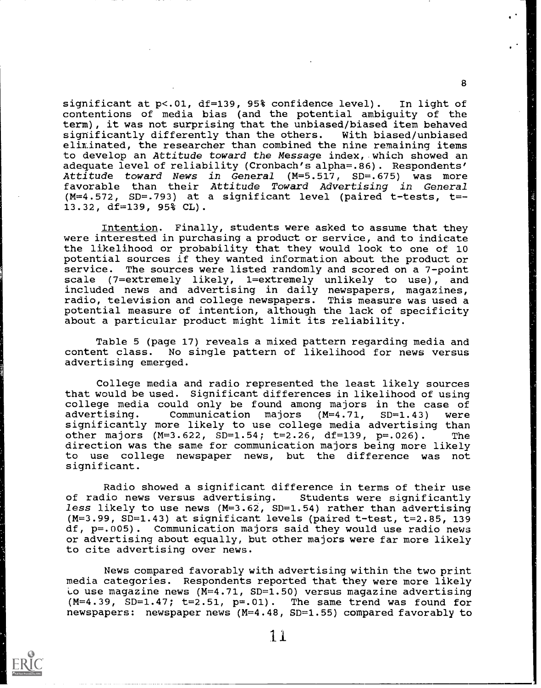significant at p<.01, df=139, 95% confidence level). In light of contentions of media bias (and the potential ambiguity of the term), it was not surprising that the unbiased/biased item behaved<br>significantly differently than the others. With biased/unbiased significantly differently than the others. eliminated, the researcher than combined the nine remaining items to develop an Attitude toward the Message index, which showed an adequate level of reliability (Cronbach's alpha=.86). Respondents' Attitude toward News in General (M=5.517, SD=.675) was more favorable than their Attitude Toward Advertising in General  $(M=4.572, SD=.793)$  at a significant level (paired t-tests, t=-13.32, df=139, 95% CL).

Intention. Finally, students were asked to assume that they were interested in purchasing a product or service, and to indicate the likelihood or probability that they would look to one of 10 potential sources if they wanted information about the product or service. The sources were listed randomly and scored on a 7-point scale (7=extremely likely, 1=extremely unlikely to use), and included news and advertising in daily newspapers, magazines, radio, television and college newspapers. This measure was used a potential measure of intention, although the lack of specificity about a particular product might limit its reliability.

Table 5 (page 17) reveals a mixed pattern regarding media and<br>content class. No single pattern of likelihood for news versus No single pattern of likelihood for news versus advertising emerged.

College media and radio represented the least likely sources that would be used. Significant differences in likelihood of using college media could only be found among majors in the case of Communication majors  $(M=4.71, SD=1.43)$  were significantly more likely to use college media advertising than other majors (M=3.622, SD=1.54; t=2.26, df=139, p=.026). The direction was the same for communication majors being more likely to use college newspaper news, but the difference was not significant.

Radio showed a significant difference in terms of their use of radio news versus advertising. Students were significantly less likely to use news  $(M=3.62, SD=1.54)$  rather than advertising  $(M=3.99, SD=1.43)$  at significant levels (paired t-test, t=2.85, 139 df, p=.005). Communication majors said they would use radio news or advertising about equally, but other majors were far more likely to cite advertising over news.

News compared favorably with advertising within the two print media categories. Respondents reported that they were more likely Lo use magazine news  $(M=4.71, SD=1.50)$  versus magazine advertising  $(M=4.39, SD=1.47; t=2.51, p=.01)$ . The same trend was found for newspapers: newspaper news (M=4.48, SD=1.55) compared favorably to

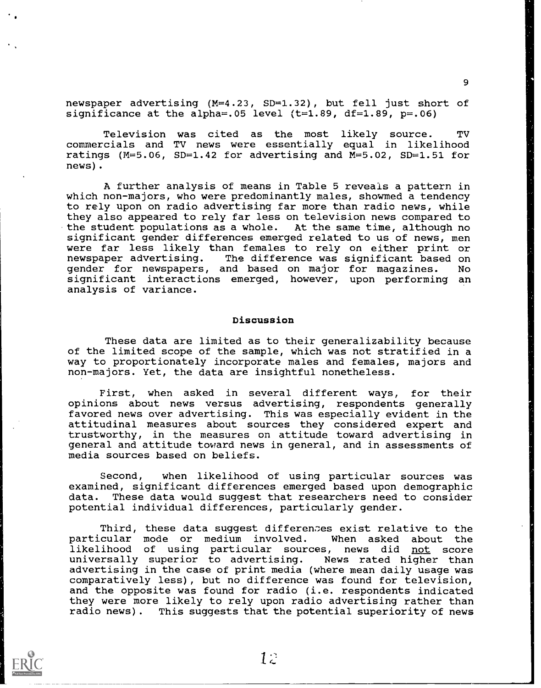newspaper advertising (M=4.23, SD=1.32), but fell just short of significance at the alpha=.05 level  $(t=1.89, df=1.89, p=.06)$ 

Television was cited as the most likely source. TV commercials and TV news were essentially equal in likelihood ratings (M=5.06, SD=1.42 for advertising and M=5.02, SD=1.51 for news).

A further analysis of means in Table 5 reveals a pattern in which non-majors, who were predominantly males, showmed a tendency to rely upon on radio advertising far more than radio news, while they also appeared to rely far less on television news compared to the student populations as a whole. At the same time, although no significant gender differences emerged related to us of news, men were far less likely than females to rely on either print or<br>newspaper advertising. The difference was significant based on The difference was significant based on gender for newspapers, and based on major for magazines. No significant interactions emerged, however, upon performing an analysis of variance.

### Discussion

These data are limited as to their generalizability because of the limited scope of the sample, which was not stratified in a way to proportionately incorporate males and females, majors and non-majors. Yet, the data are insightful nonetheless.

First, when asked in several different ways, for their opinions about news versus advertising, respondents generally favored news over advertising. This was especially evident in the attitudinal measures about sources they considered expert and trustworthy, in the measures on attitude toward advertising in general and attitude toward news in general, and in assessments of media sources based on beliefs.

Second, when likelihood of using particular sources was examined, significant differences emerged based upon demographic data. These data would suggest that researchers need to consider potential individual differences, particularly gender.

Third, these data suggest differences exist relative to the particular mode or medium involved. When asked about the likelihood of using particular sources, news did not score universally superior to advertising. News rated higher than advertising in the case of print media (where mean daily usage was comparatively less), but no difference was found for television, and the opposite was found for radio (i.e. respondents indicated they were more likely to rely upon radio advertising rather than radio news). This suggests that the potential superiority of news

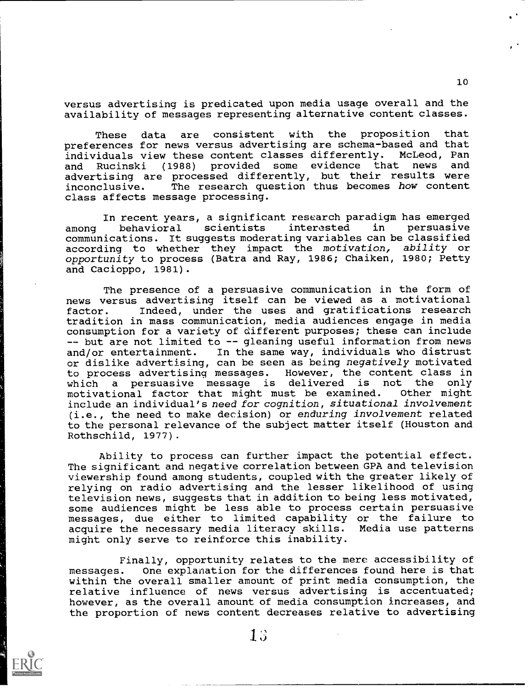versus advertising is predicated upon media usage overall and the availability of messages representing alternative content classes.

These data are consistent with the proposition that preferences for news versus advertising are schema-based and that individuals view these content classes differently. McLeod, Pan<br>and Rucinski (1988) provided some evidence that news and and Rucinski (1988) provided some evidence that news advertising are processed differently, but their results were<br>inconclusive. The research question thus becomes how content The research question thus becomes how content class affects message processing.

In recent years, a significant research paradigm has emerged among behavioral scientists communications. It suggests moderating variables can be classified according to whether they impact the motivation, ability or opportunity to process (Batra and Ray, 1986; Chaiken, 1980; Petty and Cacioppo, 1981).

The presence of a persuasive communication in the form of news versus advertising itself can be viewed as a motivational factor. Indeed, under the uses and gratifications research tradition in mass communication, media audiences engage in media consumption for a variety of different purposes; these can include -- but are not limited to -- gleaning useful information from news and/or entertainment. In the same way, individuals who distrust or dislike advertising, can be seen as being negatively motivated to process advertising messages. However, the content class in which a persuasive message is delivered is not the only<br>motivational factor that might must be examined. Other might motivational factor that might must be examined. include an individual's need for cognition, situational involvement (i.e., the need to make decision) or enduring involvement related to the personal relevance of the subject matter itself (Houston and Rothschild, 1977).

Ability to process can further impact the potential effect. The significant and negative correlation between GPA and television viewership found among students, coupled with the greater likely of relying on radio advertising and the lesser likelihood of using television news, suggests that in addition to being less motivated, some audiences might be less able to process certain persuasive messages, due either to limited capability or the failure to acquire the necessary media literacy skills. Media use patterns might only serve to reinforce this inability.

Finally, opportunity relates to the mere accessibility of messages. One explanation for the differences found here is that within the overall smaller amount of print media consumption, the relative influence of news versus advertising is accentuated; however, as the overall amount of media consumption increases, and the proportion of news content decreases relative to advertising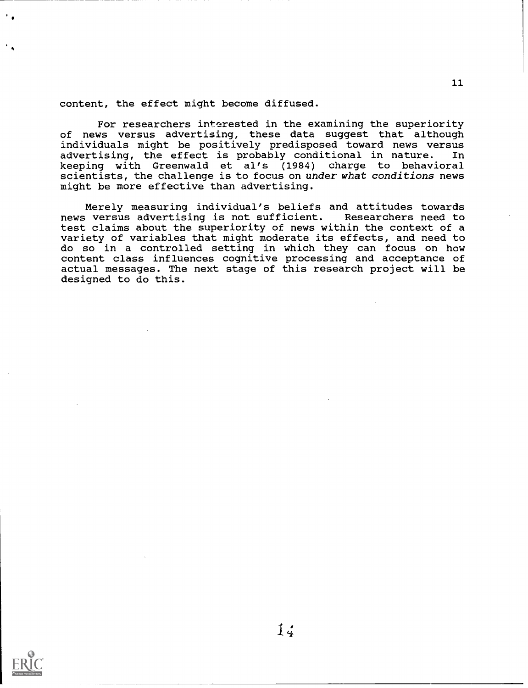content, the effect might become diffused.

For researchers interested in the examining the superiority of news versus advertising, these data suggest that although individuals might be positively predisposed toward news versus advertising, the effect is probably conditional in nature. keeping with Greenwald et al's (1984) charge to behavioral scientists, the challenge is to focus on under what conditions news might be more effective than advertising.

Merely measuring individual's beliefs and attitudes towards<br>; versus advertising is not sufficient. Researchers need to news versus advertising is not sufficient. test claims about the superiority of news within the context of a variety of variables that might moderate its effects, and need to do so in a controlled setting in which they can focus on how content class influences cognitive processing and acceptance of actual messages. The next stage of this research project will be designed to do this.

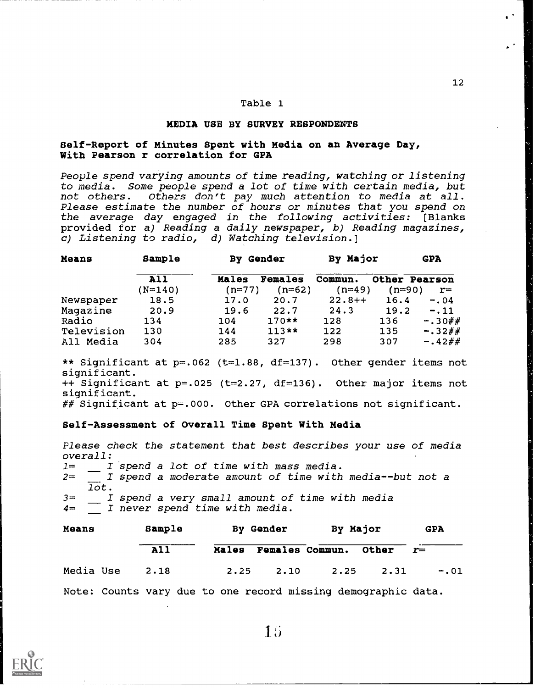## MEDIA USE BY SURVEY RESPONDENTS

## Self-Report of Minutes Spent with Media on an Average Day, With Pearson r correlation for GPA

People spend varying amounts of time reading, watching or listening to media. Some people spend a lot of time with certain media, but not others. Others don't pay much attention to media at all. Please estimate the number of hours or minutes that you spend on the average day engaged in the following activities: [Blanks provided for a) Reading a daily newspaper, b) Reading magazines, c) Listening to radio, d) Watching television.]

| Sample    |       |                |                       |          |                      |
|-----------|-------|----------------|-----------------------|----------|----------------------|
| All       | Males | <b>Females</b> | Commun.               |          | <b>Other Pearson</b> |
| $(N=140)$ |       | $(n=62)$       |                       | $(n=90)$ | $r =$                |
| 18.5      | 17.0  | 20.7           | $22.8++$              | 16.4     | $-0.04$              |
| 20.9      | 19.6  | 22.7           | 24.3                  | 19.2     | $-.11$               |
| 134       | 104   | $170**$        | 128                   | 136      | $-.30##$             |
| 130       | 144   | $113**$        | 122                   | 135      | $-.32$ ##            |
| 304       | 285   | 327            | 298                   | 307      | $-.42##$             |
|           |       |                | By Gender<br>$(n=77)$ |          | By Major<br>$(n=49)$ |

\*\* Significant at p=.062 (t=1.88, df=137). Other gender items not significant. ++ Significant at p=.025 (t=2.27, df=136). Other major items not significant. ## Significant at  $p=.000.$  Other GPA correlations not significant.

#### Self-Assessment of Overall Time Spent With Media

Please check the statement that best describes your use of media  $over all:$ <br> $1=$   $I$  $I$  spend a lot of time with mass media.  $2=$   $\overline{I}$  spend a moderate amount of time with media--but not a  $\overline{10}t.$ 3= I spend a very small amount of time with media 4= I never spend time with media. Means Sample By Gender By Major GPA

|  |                                                                              |  | All <b>Males Females Commun.</b> Other $r=$ |  |
|--|------------------------------------------------------------------------------|--|---------------------------------------------|--|
|  | Media Use 2.18 2.25 2.10 2.25 2.31 -.01                                      |  |                                             |  |
|  | . Wadan Asii Asii waxa din daga san inayay kale wadan daga sanayan kale daba |  |                                             |  |

Note: Counts vary due to one record missing demographic data.



 $1.5$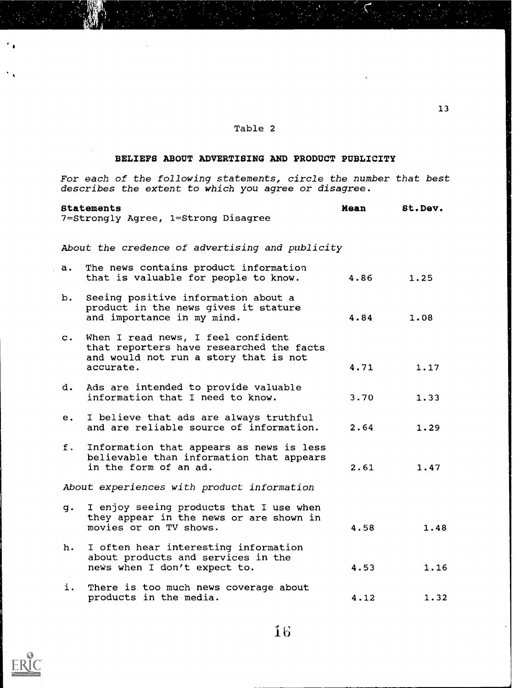# BELIEFS ABOUT ADVERTISING AND PRODUCT PUBLICITY

For each of the following statements, circle the number that best describes the extent to which you agree or disagree.

|                | <b>Statements</b><br>7=Strongly Agree, 1=Strong Disagree                                                                             | Mean | St.Dev. |  |
|----------------|--------------------------------------------------------------------------------------------------------------------------------------|------|---------|--|
|                | About the credence of advertising and publicity                                                                                      |      |         |  |
| a.             | The news contains product information<br>that is valuable for people to know.                                                        | 4.86 | 1.25    |  |
| b.             | Seeing positive information about a<br>product in the news gives it stature<br>and importance in my mind.                            | 4.84 | 1.08    |  |
| $\mathbf{C}$ . | When I read news, I feel confident<br>that reporters have researched the facts<br>and would not run a story that is not<br>accurate. | 4.71 | 1.17    |  |
| d.             | Ads are intended to provide valuable<br>information that I need to know.                                                             | 3.70 | 1.33    |  |
|                | e. I believe that ads are always truthful<br>and are reliable source of information.                                                 | 2.64 | 1.29    |  |
| f.             | Information that appears as news is less<br>believable than information that appears<br>in the form of an ad.                        | 2.61 | 1.47    |  |
|                | About experiences with product information                                                                                           |      |         |  |
| g.             | I enjoy seeing products that I use when<br>they appear in the news or are shown in<br>movies or on TV shows.                         | 4.58 | 1.48    |  |
| h.             | I often hear interesting information<br>about products and services in the<br>news when I don't expect to.                           | 4.53 | 1.16    |  |
| i.             | There is too much news coverage about<br>products in the media.                                                                      | 4.12 | 1.32    |  |



 $^{\bullet}$  .

16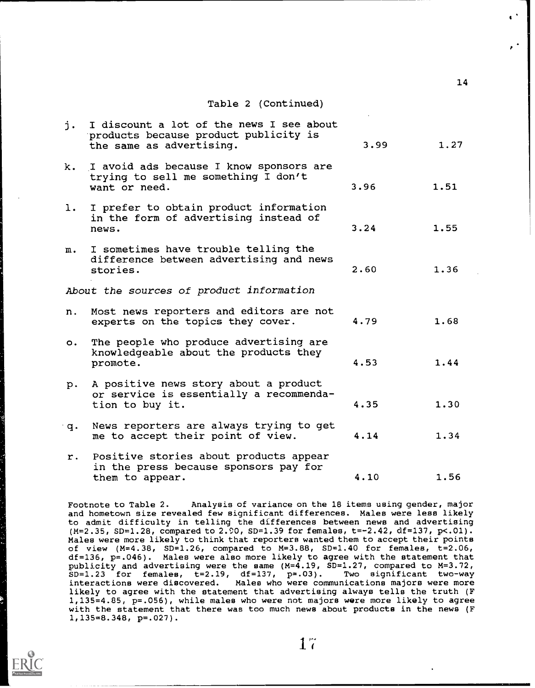| j.          | I discount a lot of the news I see about<br>products because product publicity is<br>the same as advertising. | 3.99 | 1.27 |
|-------------|---------------------------------------------------------------------------------------------------------------|------|------|
| k.          | I avoid ads because I know sponsors are<br>trying to sell me something I don't<br>want or need.               | 3.96 | 1.51 |
| 1.          | I prefer to obtain product information<br>in the form of advertising instead of<br>news.                      | 3.24 | 1.55 |
| $m$ .       | I sometimes have trouble telling the<br>difference between advertising and news<br>stories.                   | 2.60 | 1.36 |
|             | About the sources of product information                                                                      |      |      |
| n.          | Most news reporters and editors are not<br>experts on the topics they cover.                                  | 4.79 | 1.68 |
| $\circ$ .   | The people who produce advertising are<br>knowledgeable about the products they<br>promote.                   | 4.53 | 1.44 |
| p.          | A positive news story about a product<br>or service is essentially a recommenda-<br>tion to buy it.           | 4.35 | 1.30 |
| $q_{\star}$ | News reporters are always trying to get<br>me to accept their point of view.                                  | 4.14 | 1.34 |
| $r$ .       | Positive stories about products appear<br>in the press because sponsors pay for<br>them to appear.            | 4.10 | 1.56 |

Footnote to Table 2. Analysis of variance on the 18 items using gender, major and hometown size revealed few significant differences. Males were less likely to admit difficulty in telling the differences between news and advertising (M=2.35, SD=1.28, compared to 2.90, SD=1.39 for females, t=-2.42, df=137, p<.01). Males were more likely to think that reporters wanted them to accept their points of view (M=4.38, SD=1.26, compared to M=3.88, SD=1.40 for females, t=2.06, df=136, p=.046). Males were also more likely to agree with the statement that publicity and advertising were the same (M=4.19, SD=1.27, compared to M=3.72,  $\texttt{SD=1.23}$  for females,  $\texttt{t=2.19}$ ,  $\texttt{df=137}$ ,  $\texttt{p=.03}$ ). Two significant two-way interactions were discovered. Males who were communications majors were more likely to agree with the statement that advertising always tells the truth (F 1,135=4.85, p=.056), while males who were not majors were more likely to agree with the statement that there was too much news about products in the news (F 1,135=8.348, p=.027).

14

 $\bullet$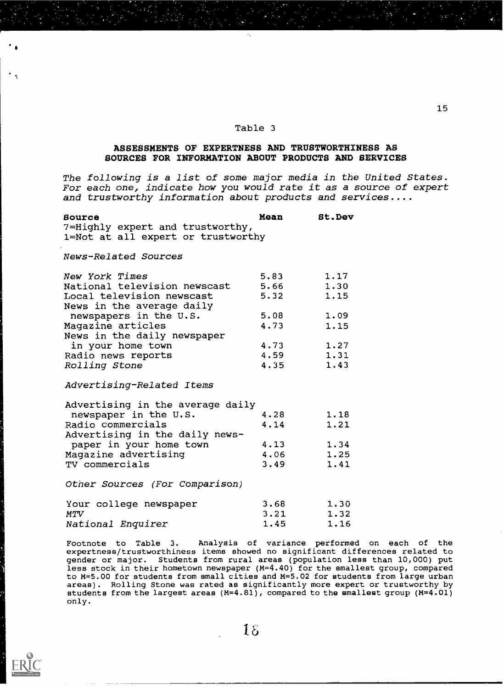# ASSESSMENTS OF EXPERTNESS AND TRUSTWORTHINESS AS SOURCES FOR INFORMATION ABOUT PRODUCTS AND SERVICES

The following is a list of some major media in the United States. For each one, indicate how you would rate it as a source of expert and trustworthy information about products and services....

#### Source Mean 7=Highly expert and trustworthy, 1=Not at all expert or trustworthy St.Dev

News-Related Sources

| New York Times               | 5.83 | 1.17 |  |
|------------------------------|------|------|--|
| National television newscast | 5.66 | 1.30 |  |
| Local television newscast    | 5.32 | 1.15 |  |
| News in the average daily    |      |      |  |
| newspapers in the U.S.       | 5.08 | 1.09 |  |
| Magazine articles            | 4.73 | 1.15 |  |
| News in the daily newspaper  |      |      |  |
| in your home town            | 4.73 | 1.27 |  |
|                              | 4.59 | 1.31 |  |
| Rolling Stone                | 4.35 | 1.43 |  |
| Radio news reports           |      |      |  |

Advertising-Related Items

| 4.28 | 1.18 |
|------|------|
| 4.14 | 1.21 |
|      |      |
| 4.13 | 1.34 |
| 4.06 | 1.25 |
| 3.49 | 1.41 |
|      |      |

Other Sources (For Comparison)

| Your college newspaper | 3.68 | 1.30 |  |
|------------------------|------|------|--|
| MTV                    | 3.21 | 1.32 |  |
| National Enquirer      | 1.45 | 1.16 |  |

Footnote to Table 3. Analysis of variance performed on each of the expertness/trustworthiness items showed no significant differences related to gender or major. Students from rural areas (population less than 10,000) put less stock in their hometown newspaper (M=4.40) for the smallest group, compared to M=5.00 for students from small cities and M=5.02 for students from large urban areas). Rolling Stone was rated as significantly more expert or trustworthy by students from the largest areas (M=4.81), compared to the smallest group (M=4.01) only.

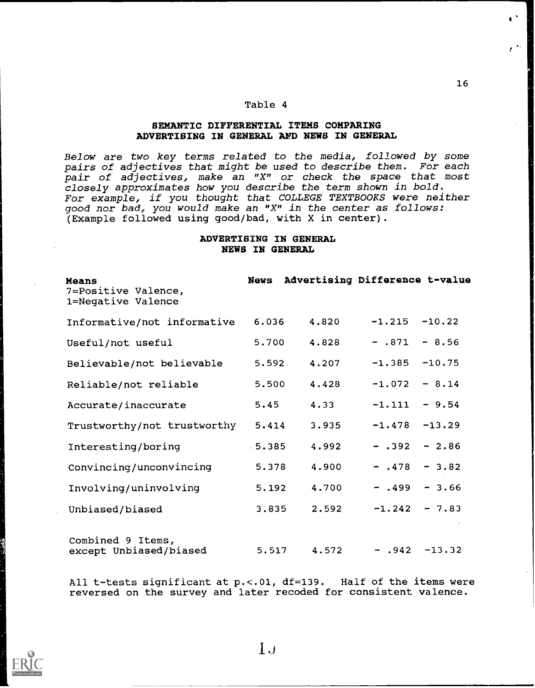# SEMANTIC DIFFERENTIAL ITEMS COMPARING ADVERTISING IN GENERAL AND NEWS IN GENERAL

Below are two key terms related to the media, followed by some pairs of adjectives that might be used to describe them. For each pair of adjectives, make an "X" or check the space that most closely approximates how you describe the term shown in bold. For example, if you thought that COLLEGE TEXTBOOKS were neither good nor bad, you would make an "X" in the center as follows: (Example followed using good/bad, with X in center).

# ADVERTISING IN GENERAL NEWS IN GENERAL

| <b>Means</b><br>7=Positive Valence,<br>1=Negative Valence |          | News Advertising Difference t-value |                   |          |
|-----------------------------------------------------------|----------|-------------------------------------|-------------------|----------|
| Informative/not informative                               | 6.036    | 4.820                               | $-1.215$          | $-10.22$ |
| Useful/not useful                                         | 5.700    | 4.828                               | $- .871$          | $-8.56$  |
| Believable/not believable                                 | 5.592    | 4.207                               | $-1.385$          | $-10.75$ |
| Reliable/not reliable                                     | 5.500    | 4.428                               | $-1.072$          | $-8.14$  |
| Accurate/inaccurate                                       | 5.45     | 4.33                                | $-1.111$          | $-9.54$  |
| Trustworthy/not trustworthy                               | 5.414    | 3.935                               | $-1.478$          | $-13.29$ |
| Interesting/boring                                        | $-5.385$ | 4.992                               | $- .392 - 2.86$   |          |
| Convincing/unconvincing                                   | 5.378    | 4.900                               | $- .478$          | $-3.82$  |
| Involving/uninvolving                                     | 5.192    | 4.700                               | $-$ .499 $-$ 3.66 |          |
| Unbiased/biased                                           | 3.835    | 2.592                               | $-1.242$          | $-7.83$  |
| Combined 9 Items,<br>except Unbiased/biased               | 5.517    | 4.572                               | $- .942 -13.32$   |          |

All t-tests significant at p.<. 01, df=139. Half of the items were reversed on the survey and later recoded for consistent valence.

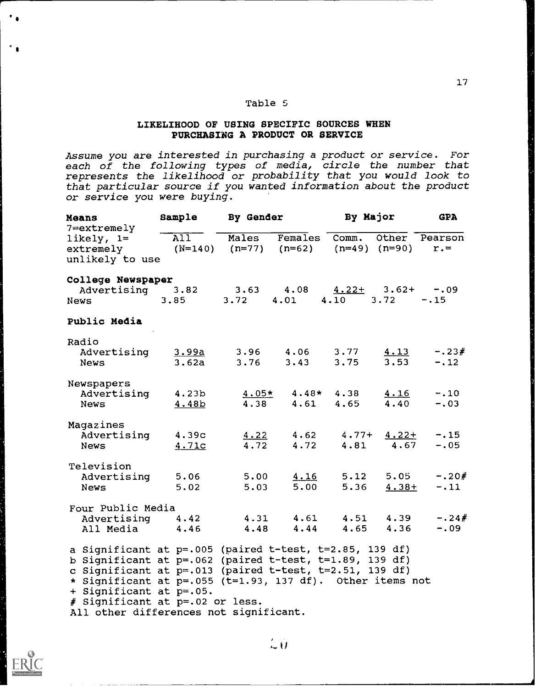# LIKELIHOOD OF USING SPECIFIC SOURCES WHEN PURCHASING A PRODUCT OR SERVICE

Assume you are interested in purchasing a product or service. For each of the following types of media, circle the number that represents the likelihood or probability that you would look to that particular source if you wanted information about the product or service you were buying.

| Means<br>$7 =$ extremely                                                                                               | Sample                     | <b>By Gender</b>                                       |                                         | By Major                     |                         | <b>GPA</b>        |
|------------------------------------------------------------------------------------------------------------------------|----------------------------|--------------------------------------------------------|-----------------------------------------|------------------------------|-------------------------|-------------------|
| likely, $1=$<br>extremely<br>unlikely to use                                                                           | $\overline{All}$           | Males<br>$(N=140)$ $(n=77)$ $(n=62)$ $(n=49)$ $(n=90)$ | $F$ emales                              | Comm.                        | Other                   | Pearson<br>$r =$  |
| College Newspaper                                                                                                      |                            |                                                        |                                         |                              |                         |                   |
| Advertising 3.82<br>News                                                                                               | 3,85                       | 3.63<br>3.72                                           | 4.08<br>4.01                            | $4.22 + 3.62 + -.09$<br>4.10 | 3.72                    | $-.15$            |
| Public Media                                                                                                           |                            |                                                        |                                         |                              |                         |                   |
| Radio                                                                                                                  |                            |                                                        |                                         |                              |                         |                   |
| Advertising<br>News                                                                                                    | 3.99a<br>3.62a             | 3.96<br>3.76                                           | 4.06<br>3.43                            | 3.77<br>3.75                 | 4.13<br>3.53            | $-.23#$<br>$-.12$ |
| Newspapers                                                                                                             |                            |                                                        |                                         |                              |                         |                   |
| Advertising<br><b>News</b>                                                                                             | 4.23 <sub>b</sub><br>4.48b | 4.38                                                   | $4.05*$ $4.48*$ $4.38$<br>$4.61$ $4.65$ |                              | 4.16<br>4.40            | $-.10$<br>$-.03$  |
| Magazines                                                                                                              |                            |                                                        |                                         |                              |                         |                   |
| Advertising<br><b>News</b>                                                                                             | 4.39c<br>4.71c             | 4.22<br>4.72                                           | 4.62<br>4.72                            | 4.81                         | $4.77 + 4.22 +$<br>4.67 | $-.15$<br>$-.05$  |
| Television                                                                                                             |                            |                                                        |                                         |                              |                         |                   |
| Advertising<br><b>News</b>                                                                                             | 5.06<br>5.02               | 5.00<br>5.03                                           | 4.16<br>5.00                            | 5.12<br>5.36                 | 5.05<br>$4.38+$         | $-.20#$<br>$-.11$ |
| Four Public Media                                                                                                      |                            |                                                        |                                         |                              |                         |                   |
| Advertising<br>All Media                                                                                               | 4.42<br>4.46               | 4.31<br>4.48                                           | 4.61<br>4.44                            | 4.51                         | 4.39<br>$4.65$ $4.36$   | $-.24#$<br>$-.09$ |
| a Significant at p=.005 (paired t-test, t=2.85, 139 df)                                                                |                            |                                                        |                                         |                              |                         |                   |
| b Significant at $p=.062$ (paired t-test, t=1.89, 139 df)                                                              |                            |                                                        |                                         |                              |                         |                   |
| c Significant at $p=.013$ (paired t-test, t=2.51, 139 df)<br>* Significant at p=.055 (t=1.93, 137 df). Other items not |                            |                                                        |                                         |                              |                         |                   |
| + Significant at p=.05.                                                                                                |                            |                                                        |                                         |                              |                         |                   |
| # Significant at p=.02 or less.                                                                                        |                            |                                                        |                                         |                              |                         |                   |
| All other differences not significant.                                                                                 |                            |                                                        |                                         |                              |                         |                   |



 $\overline{\mathcal{L}}$   $\overline{\mathcal{U}}$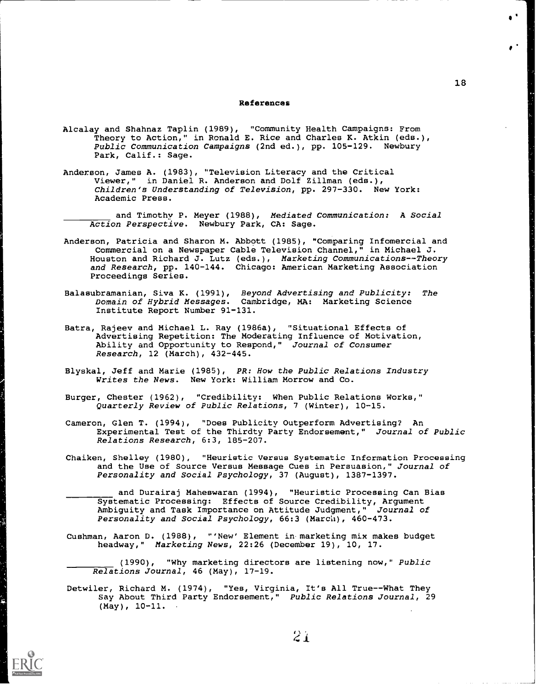#### References

- Alcalay and Shahnaz Taplin (1989), "Community Health Campaigns: From Theory to Action," in Ronald E. Rice and Charles K. Atkin (eds.), Public Communication Campaigns (2nd ed.), pp. 105-129. Newbury Park, Calif.: Sage.
- Anderson, James A. (1983), "Television Literacy and the Critical Viewer," in Daniel R. Anderson and Dolf Zillman (eds.), Children's Understanding of Television, pp. 297-330. New York: Academic Press.

and Timothy P. Meyer (1988), Mediated Communication: A Social Action Perspective. Newbury Park, CA: Sage.

- Anderson, Patricia and Sharon M. Abbott (1985), "Comparing Infomercial and Commercial on a Newspaper Cable Television Channel," in Michael J. Houston and Richard J. Lutz (eds.), Marketing Communications--Theory and Research, pp. 140-144. Chicago: American Marketing Association Proceedings Series.
- Balasubramanian, Siva K. (1991), Beyond Advertising and Publicity: The Domain of Hybrid Messages. Cambridge, MA: Marketing Science Institute Report Number 91-131.
- Batra, Rajeev and Michael L. Ray (1986a), "Situational Effects of Advertising Repetition: The Moderating Influence of Motivation, Ability and Opportunity to Respond," Journal of Consumer Research, 12 (March), 432-445.
- Blyskal, Jeff and Marie (1985), PR: How the Public Relations Industry Writes the News. New York: William Morrow and Co.
- Burger, Chester (1962), "Credibility: When Public Relations Works," Quarterly Review of Public Relations, 7 (Winter), 10-15.
- Cameron, Glen T. (1994), "Does Publicity Outperform Advertising? An Experimental Test of the Thirdty Party Endorsement," Journal of Public Relations Research, 6:3, 185-207.
- Chaiken, Shelley (1980), "Heuristic Versus Systematic Information Processing and the Use of Source Versus Message Cues in Persuasion," Journal of Personality and Social Psychology, 37 (August), 1387-1397.

and Durairaj Maheswaran (1994), "Heuristic Processing Can Bias Systematic Processing: Effects of Source Credibility, Argument Ambiguity and Task Importance on Attitude Judgment," Journal of Personality and Social Psychology, 66:3 (March), 460-473.

Cushman, Aaron D. (1988), "'New' Element in-marketing mix makes budget headway," Marketing News, 22:26 (December 19), 10, 17.

(1990), "Why marketing directors are listening now," Public Relations Journal, 46 (May), 17-19.

Detwiler, Richard M. (1974), "Yes, Virginia, It's All True--What They Say About Third Party Endorsement," Public Relations Journal, 29 (May), 10-11.

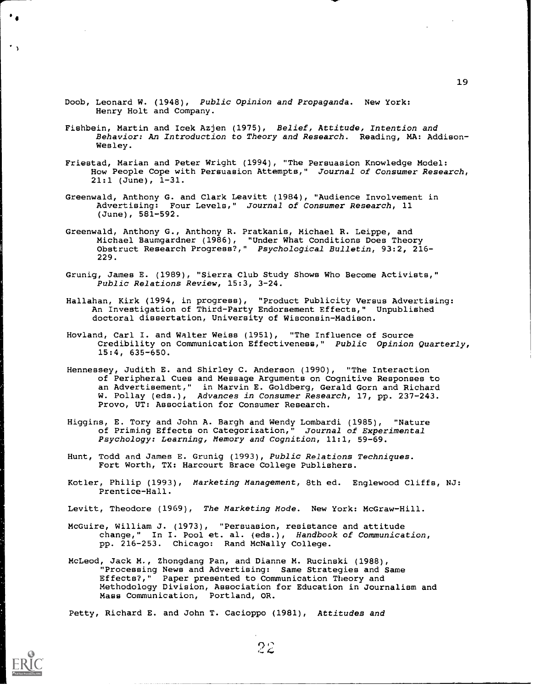- Doob, Leonard W. (1948), Public Opinion and Propaganda. New York: Henry Holt and Company.
- Fishbein, Martin and Icek Azjen (1975), Belief, Attitude, Intention and Behavior: An Introduction to Theory and Research. Reading, MA: Addison-Wesley.
- Friestad, Marian and Peter Wright (1994), "The Persuasion Knowledge Model: How People Cope with Persuasion Attempts," Journal of Consumer Research,  $21:1$  (June),  $1-31$ .
- Greenwald, Anthony G. and Clark Leavitt (1984), "Audience Involvement in Advertising: Four Levels," Journal of Consumer Research, 11 (June), 581-592.
- Greenwald, Anthony G., Anthony R. Pratkanis, Michael R. Leippe, and Michael Baumgardner (1986), "Under What Conditions Does Theory Obstruct Research Progress?," Psychological Bulletin, 93:2, 216- 229.
- Grunig, James E. (1989), "Sierra Club Study Shows Who Become Activists," Public Relations Review, 15:3, 3-24.
- Hallahan, Kirk (1994, in progress), "Product Publicity Versus Advertising: An Investigation of Third-Party Endorsement Effects," Unpublished doctoral dissertation, University of Wisconsin-Madison.
- Hovland, Carl I. and Walter Weiss (1951), "The Influence of Source Credibility on Communication Effectiveness," Public Opinion Quarterly, 15:4, 635-650.
- Hennessey, Judith E. and Shirley C. Anderson (1990), "The Interaction of Peripheral Cues and Message Arguments on Cognitive Responses to an Advertisement," in Marvin E. Goldberg, Gerald Gorn and Richard W. Pollay (eds.), Advances in Consumer Research, 17, pp. 237-243. Provo, UT: Association for Consumer Research.
- Higgins, E. Tory and John A. Bargh and Wendy Lombardi (1985), "Nature of Priming Effects on Categorization," Journal of Experimental Psychology: Learning, Memory and Cognition, 11:1, 59-69.
- Hunt, Todd and James E. Grunig (1993), Public Relations Techniques. Fort Worth, TX: Harcourt Brace College Publishers.
- Kotler, Philip (1993), Marketing Management, 8th ed. Englewood Cliffs, NJ: Prentice-Hall.
- Levitt, Theodore (1969), The Marketing Mode. New York: McGraw-Hill.
- McGuire, William J. (1973), "Persuasion, resistance and attitude change," In I. Pool et. al. (eds.), Handbook of Communication, pp. 216-253. Chicago: Rand McNally College.
- McLeod, Jack M., Zhongdang Pan, and Dianne M. Rucinski (1988), "Processing News and Advertising: Same Strategies and Same Effects?," Paper presented to Communication Theory and Methodology Division, Association for Education in Journalism and Mass Communication, Portland, OR.

 $22$ 

Petty, Richard E. and John T. Cacioppo (1981), Attitudes and